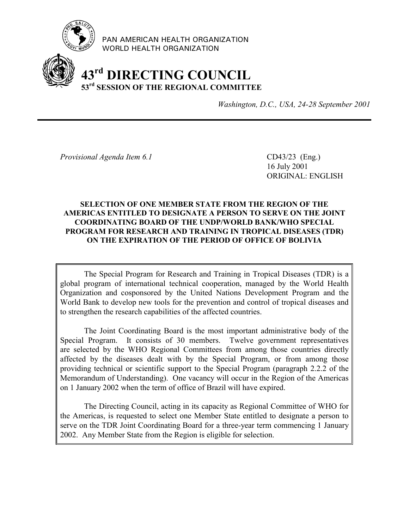

PAN AMERICAN HEALTH ORGANIZATION WORLD HEALTH ORGANIZATION

# **43rd DIRECTING COUNCIL 53rd SESSION OF THE REGIONAL COMMITTEE**

*Washington, D.C., USA, 24-28 September 2001*

*Provisional Agenda Item 6.1* CD43/23 (Eng.)

16 July 2001 ORIGINAL: ENGLISH

# **SELECTION OF ONE MEMBER STATE FROM THE REGION OF THE AMERICAS ENTITLED TO DESIGNATE A PERSON TO SERVE ON THE JOINT COORDINATING BOARD OF THE UNDP/WORLD BANK/WHO SPECIAL PROGRAM FOR RESEARCH AND TRAINING IN TROPICAL DISEASES (TDR) ON THE EXPIRATION OF THE PERIOD OF OFFICE OF BOLIVIA**

The Special Program for Research and Training in Tropical Diseases (TDR) is a global program of international technical cooperation, managed by the World Health Organization and cosponsored by the United Nations Development Program and the World Bank to develop new tools for the prevention and control of tropical diseases and to strengthen the research capabilities of the affected countries.

The Joint Coordinating Board is the most important administrative body of the Special Program. It consists of 30 members. Twelve government representatives are selected by the WHO Regional Committees from among those countries directly affected by the diseases dealt with by the Special Program, or from among those providing technical or scientific support to the Special Program (paragraph 2.2.2 of the Memorandum of Understanding). One vacancy will occur in the Region of the Americas on 1 January 2002 when the term of office of Brazil will have expired.

The Directing Council, acting in its capacity as Regional Committee of WHO for the Americas, is requested to select one Member State entitled to designate a person to serve on the TDR Joint Coordinating Board for a three-year term commencing 1 January 2002. Any Member State from the Region is eligible for selection.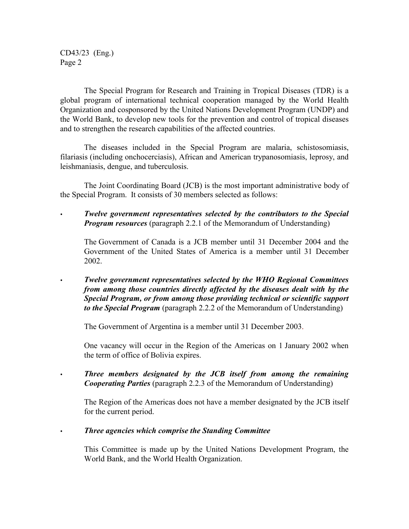CD43/23 (Eng.) Page 2

The Special Program for Research and Training in Tropical Diseases (TDR) is a global program of international technical cooperation managed by the World Health Organization and cosponsored by the United Nations Development Program (UNDP) and the World Bank, to develop new tools for the prevention and control of tropical diseases and to strengthen the research capabilities of the affected countries.

The diseases included in the Special Program are malaria, schistosomiasis, filariasis (including onchocerciasis), African and American trypanosomiasis, leprosy, and leishmaniasis, dengue, and tuberculosis.

The Joint Coordinating Board (JCB) is the most important administrative body of the Special Program. It consists of 30 members selected as follows:

*Twelve government representatives selected by the contributors to the Special Program resources* (paragraph 2.2.1 of the Memorandum of Understanding)

The Government of Canada is a JCB member until 31 December 2004 and the Government of the United States of America is a member until 31 December 2002.

<sup>y</sup> *Twelve government representatives selected by the WHO Regional Committees from among those countries directly affected by the diseases dealt with by the Special Program, or from among those providing technical or scientific support to the Special Program* (paragraph 2.2.2 of the Memorandum of Understanding)

The Government of Argentina is a member until 31 December 2003.

One vacancy will occur in the Region of the Americas on 1 January 2002 when the term of office of Bolivia expires.

**Three members designated by the JCB itself from among the remaining** *Cooperating Parties* (paragraph 2.2.3 of the Memorandum of Understanding)

The Region of the Americas does not have a member designated by the JCB itself for the current period.

## <sup>y</sup> *Three agencies which comprise the Standing Committee*

This Committee is made up by the United Nations Development Program, the World Bank, and the World Health Organization.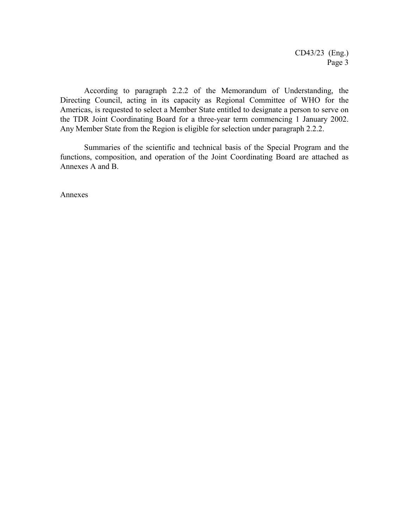According to paragraph 2.2.2 of the Memorandum of Understanding, the Directing Council, acting in its capacity as Regional Committee of WHO for the Americas, is requested to select a Member State entitled to designate a person to serve on the TDR Joint Coordinating Board for a three-year term commencing 1 January 2002. Any Member State from the Region is eligible for selection under paragraph 2.2.2.

Summaries of the scientific and technical basis of the Special Program and the functions, composition, and operation of the Joint Coordinating Board are attached as Annexes A and B.

Annexes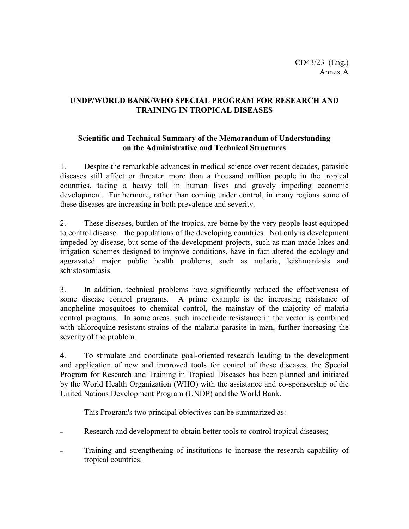# **UNDP/WORLD BANK/WHO SPECIAL PROGRAM FOR RESEARCH AND TRAINING IN TROPICAL DISEASES**

# **Scientific and Technical Summary of the Memorandum of Understanding on the Administrative and Technical Structures**

1. Despite the remarkable advances in medical science over recent decades, parasitic diseases still affect or threaten more than a thousand million people in the tropical countries, taking a heavy toll in human lives and gravely impeding economic development. Furthermore, rather than coming under control, in many regions some of these diseases are increasing in both prevalence and severity.

2. These diseases, burden of the tropics, are borne by the very people least equipped to control disease—the populations of the developing countries. Not only is development impeded by disease, but some of the development projects, such as man-made lakes and irrigation schemes designed to improve conditions, have in fact altered the ecology and aggravated major public health problems, such as malaria, leishmaniasis and schistosomiasis.

3. In addition, technical problems have significantly reduced the effectiveness of some disease control programs. A prime example is the increasing resistance of anopheline mosquitoes to chemical control, the mainstay of the majority of malaria control programs. In some areas, such insecticide resistance in the vector is combined with chloroquine-resistant strains of the malaria parasite in man, further increasing the severity of the problem.

4. To stimulate and coordinate goal-oriented research leading to the development and application of new and improved tools for control of these diseases, the Special Program for Research and Training in Tropical Diseases has been planned and initiated by the World Health Organization (WHO) with the assistance and co-sponsorship of the United Nations Development Program (UNDP) and the World Bank.

This Program's two principal objectives can be summarized as:

- Research and development to obtain better tools to control tropical diseases;
- Training and strengthening of institutions to increase the research capability of tropical countries.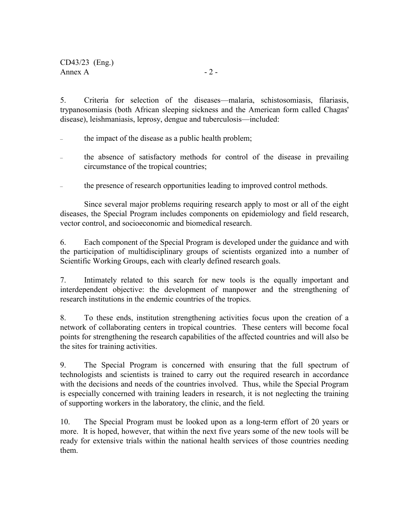5. Criteria for selection of the diseases—malaria, schistosomiasis, filariasis, trypanosomiasis (both African sleeping sickness and the American form called Chagas' disease), leishmaniasis, leprosy, dengue and tuberculosis—included:

- the impact of the disease as a public health problem;
- the absence of satisfactory methods for control of the disease in prevailing circumstance of the tropical countries;
- the presence of research opportunities leading to improved control methods.

Since several major problems requiring research apply to most or all of the eight diseases, the Special Program includes components on epidemiology and field research, vector control, and socioeconomic and biomedical research.

6. Each component of the Special Program is developed under the guidance and with the participation of multidisciplinary groups of scientists organized into a number of Scientific Working Groups, each with clearly defined research goals.

7. Intimately related to this search for new tools is the equally important and interdependent objective: the development of manpower and the strengthening of research institutions in the endemic countries of the tropics.

8. To these ends, institution strengthening activities focus upon the creation of a network of collaborating centers in tropical countries. These centers will become focal points for strengthening the research capabilities of the affected countries and will also be the sites for training activities.

9. The Special Program is concerned with ensuring that the full spectrum of technologists and scientists is trained to carry out the required research in accordance with the decisions and needs of the countries involved. Thus, while the Special Program is especially concerned with training leaders in research, it is not neglecting the training of supporting workers in the laboratory, the clinic, and the field.

10. The Special Program must be looked upon as a long-term effort of 20 years or more. It is hoped, however, that within the next five years some of the new tools will be ready for extensive trials within the national health services of those countries needing them.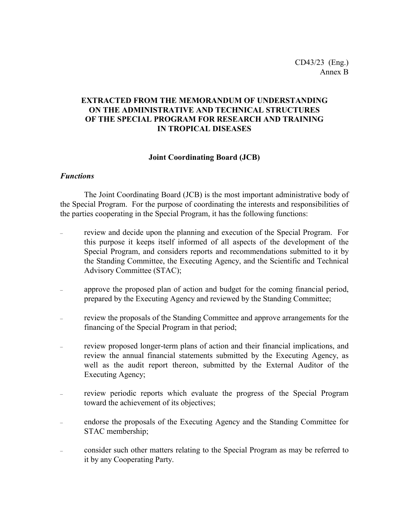# **EXTRACTED FROM THE MEMORANDUM OF UNDERSTANDING ON THE ADMINISTRATIVE AND TECHNICAL STRUCTURES OF THE SPECIAL PROGRAM FOR RESEARCH AND TRAINING IN TROPICAL DISEASES**

#### **Joint Coordinating Board (JCB)**

#### *Functions*

The Joint Coordinating Board (JCB) is the most important administrative body of the Special Program. For the purpose of coordinating the interests and responsibilities of the parties cooperating in the Special Program, it has the following functions:

- review and decide upon the planning and execution of the Special Program. For this purpose it keeps itself informed of all aspects of the development of the Special Program, and considers reports and recommendations submitted to it by the Standing Committee, the Executing Agency, and the Scientific and Technical Advisory Committee (STAC);
- approve the proposed plan of action and budget for the coming financial period, prepared by the Executing Agency and reviewed by the Standing Committee;
- review the proposals of the Standing Committee and approve arrangements for the financing of the Special Program in that period;
- review proposed longer-term plans of action and their financial implications, and review the annual financial statements submitted by the Executing Agency, as well as the audit report thereon, submitted by the External Auditor of the Executing Agency;
- review periodic reports which evaluate the progress of the Special Program toward the achievement of its objectives;
- endorse the proposals of the Executing Agency and the Standing Committee for STAC membership;
- consider such other matters relating to the Special Program as may be referred to it by any Cooperating Party.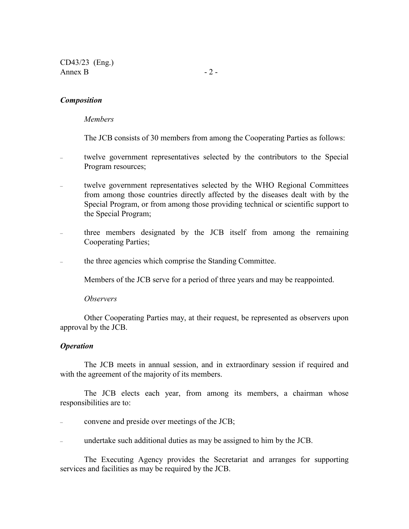# *Composition*

#### *Members*

The JCB consists of 30 members from among the Cooperating Parties as follows:

- twelve government representatives selected by the contributors to the Special Program resources;
- twelve government representatives selected by the WHO Regional Committees from among those countries directly affected by the diseases dealt with by the Special Program, or from among those providing technical or scientific support to the Special Program;
- three members designated by the JCB itself from among the remaining Cooperating Parties;
- the three agencies which comprise the Standing Committee.

Members of the JCB serve for a period of three years and may be reappointed.

## *Observers*

Other Cooperating Parties may, at their request, be represented as observers upon approval by the JCB.

## *Operation*

The JCB meets in annual session, and in extraordinary session if required and with the agreement of the majority of its members.

The JCB elects each year, from among its members, a chairman whose responsibilities are to:

- convene and preside over meetings of the JCB;
- undertake such additional duties as may be assigned to him by the JCB.

The Executing Agency provides the Secretariat and arranges for supporting services and facilities as may be required by the JCB.